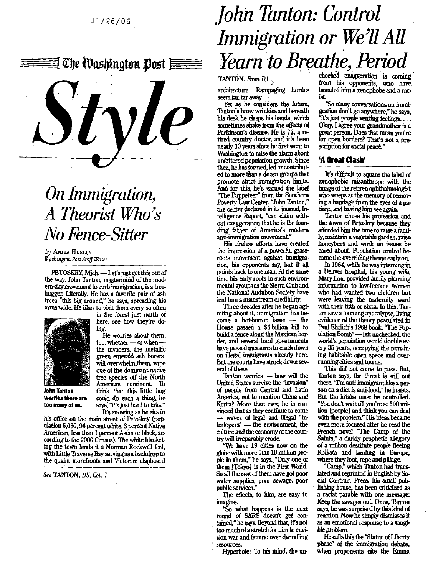

## *On Immigration, A Theorist Who's No Fence-Sitter*

*By,* ANITA HUSLIN **Washington Post** *Staff Writer*

PETOSKEY, Mich. - Let's just get this out of **the way**. **John Tanton**, **mastermind of the modern-day movement to curb immigration**, **is a tree. bugger**. **Literally**. **He has a favorite pair of ash trees "this big around**," **he says, spreading his arms wide**. **He likes to visit them every so often**



**in the forest just north of here, see how they're do-**

**ing. He worries about them,** too, whether — or when **the invaders**, **the metallic green emerald ash borers, will overwhelm them, wipe one of the dominant native tree species off the North** American continent. To **John Tanton** think that this little bug<br>**worries there are** could do such a thing, he **worries there are** could do such a thing, he<br>**too many of us,** says, "it's just hard to take." says, "it's just hard to take." It's snowing as he sits in

his office on the main street of Petoskey (population 6,080,94 percent white, 3 percent Native American, less than 1 percent Asian or black, according to the 2000 Census). The white blanketing the town lends it a Norman Rockwell feel, with Little Traverse Bay serving as a backdrop to the quaint storefronts and Victorian clapboard

See TANTON, *D5, Col. I*

## *John Tanton: Control Immigration or We'll All Yearn "to Breathe, Period*

**TANTON**, **From DI**

**architecture**. **Rampaging hordes** seem far, far away.

**Yet as he considers the future, Tanton's brow wrinkles and beneath his desk he clasps his hands, which sometimes shake from the effects of Parkinson**'**s disease**. **He is 72, a retired country doctor, and it's been nearly 30 years since he first went to Washington to raise the alarm about unfettered population growth. Since then, he has formed, led or contributed to more than a dozen groups that** promote strict immigration limits. **And for this**, **he's earned the label '°The Puppeteer** " **from the Southern Poverty Law Center**. "**John Tanton," the center declared in its journal, Intelligence Report, "can claim without exaggeration that he is the founding** *father* **of Americas modem antimimmigtation movement."**

**His tireless efforts have created the impression of a powerful grassroots movement against immigration, his opponents say, but it all points back to one man**. **At the same time his early roots in such environmental groups as the Sierra Club and the National Audubon Society have lent him a mainstream credibility.**

**Three decades after he began agitating about it, immigration has be**come a hot-button issue - the **House passed a \$6 billion bill to build a fence along the Mexican bor**der, and several local governments **have passed measures to crackdown on illegal immigrants already here. But the courts have struck down several of these.**

Tanton worries - how will the **United States survive the "invasion" of people from Central and Latin America, not to mention China and Korea? More than ever, he is convinced that as they continue to come - waves of legal and illegal "in-terlopers**" - **the environment, the culture and the economy of the country will irreparably erode.**

**"We have 19 cities now on the globe with more than 10 million people in them," he says. "Only one of them [Tokyo] is in the First World. So all the rest of them have got poor water supplies**, **poor sewage, poor public services."**

**The effects**, **to him, are easy to imagine.**

**"So what happens is the next round of SARS doesn't get contamed," he says. Beyond that, it's not too much of a stretch for him to** *ends* **sion war and famine over dwindling resources.**

**Hyperbole**? **To his mind, the un-**

checked exaggeration is coming from his opponents, who have, branded him a xenophobe and a racist

"So many conversations on immigration don't go anywhere," he says, "it's just people venting feelings.  $\ldots$ Okay, I agree your grandmother is a great person. Does that mean you're for open borders? That's not a prescription for social peace."

## **'A Great Clash'**

**Its difficult to square the label of xenophobic misanthrope with the image of the retired ophthalmologist who weeps at the memory of removing a bandage from the eyes of a patient, and having him see again.**

**Tanton chose his profession and the town of Petoskey because** *they* **afforded him the time to raise a family, maintain a vegetable garden, raise honeybees and work on issues he cared about Population control became the overriding theme early on.**

**In 1964, while he was interning in a Denver hospital, his young wife, Mary Lou, provided family planning information to low-income women who had wanted two children but were leaving the maternity ward with their fifth or sixth**. **In this, Tauton saw a looming apocalypse, living evidence of the theory postulated in Paul Ehrlich**'**s 1968 book**, '**The Population Bomb**"-**left unchecked, the world's population would double every 35 years, occupying the remaining habitable open space and overmmningcities and towns.**

**This did not come to pass. But, Tanton says**, **the threat is still out there. Tm anti-immigrant like a person on a diet is anti-food," he insists. But the intake must be controlled.** "**You don't wait till you're at 390 million [people] and think you can deal with the problem." His ideas became even more focused after he read the** French novel "The Camp of the **Saints," a darkly prophetic allegory of a million destitute people fleeing Kolkata and landing in Europe, where they loot, rape and pillage.**

**"Camp," which Tanton had translated and reprinted in English by Social Contract Press, his small publishing house, has been criticized as a racist parable with one message: Keep the savages out Once, Tanton says, he was surprised by this kind of reaction**. **Now he simply dismisses it as an emotional response to a tangible problem.**

**He calls this the "Statue of Liberty phase" of the immigration debate, when proponents cite the Emma**